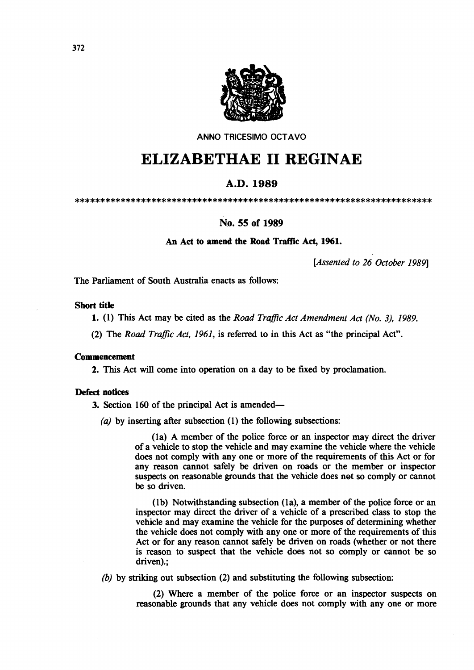

ANNO TRICESIMO OCTAVO

# **ELIZABETHAE 11 REGINAE**

## A.D.1989

\*\*\*\*\*\*\*\*\*\*\*\*\*\*\*\*\*\*\*\*\*\*\*\*\*\*\*\*\*\*\*\*\*\*\*\*\*\*\*\*\*\*\*\*\*\*\*\*\*\*\*\*\*\*\*\*\*\*\*\*\*\*\*\*\*\*\*\*\*\*

### No. 55 of 1989

An Act to amend the Road Traffic Act, 1961.

*[Assented to* 26 *October 1989]* 

The Parliament of South Australia enacts as follows:

#### Short title

1. (1) This Act may be cited as the *Road Traffic Act Amendment Act (No.* 3), 1989.

(2) The *Road Traffic Act,* 1961, is referred to in this Act as "the principal Act".

#### Commencement

2. This Act will come into operation on a day to be fixed by proclamation.

#### Defect notices

3. Section 160 of the principal Act is amended-

(a) by inserting after subsection  $(1)$  the following subsections:

(la) A member of the police force or an inspector may direct the driver of a vehicle to stop the vehicle and may examine the vehicle where the vehicle does not comply with anyone or more of the requirements of this Act or for any reason cannot safely be driven on roads or the member or inspector suspects on reasonable grounds that the vehicle does net so comply or cannot be so driven.

(lb) Notwithstanding subsection (la), a member of the police force or an inspector may direct the driver of a vehicle of a prescribed class to stop the vehicle and may examine the vehicle for the purposes of determining whether the vehicle does not comply with anyone or more of the requirements of this Act or for any reason cannot safely be driven on roads (whether or not there is reason to suspect that the vehicle does not so comply or cannot be so driven).;

*(b)* by striking out subsection (2) and substituting the following subsection:

(2) Where a member of the police force or an inspector suspects on reasonable grounds that any vehicle does not comply with anyone or more